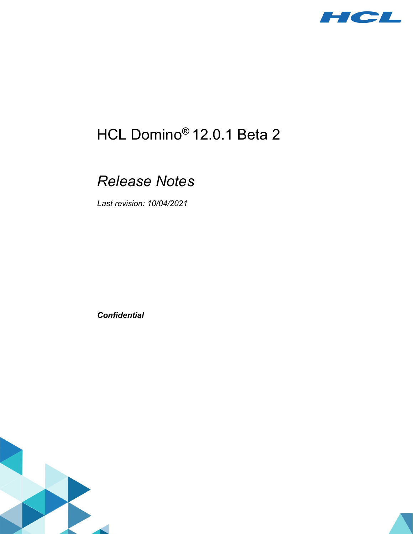

# HCL Domino® 12.0.1 Beta 2

# *Release Notes*

*Last revision: 10/04/2021*

*Confidential*

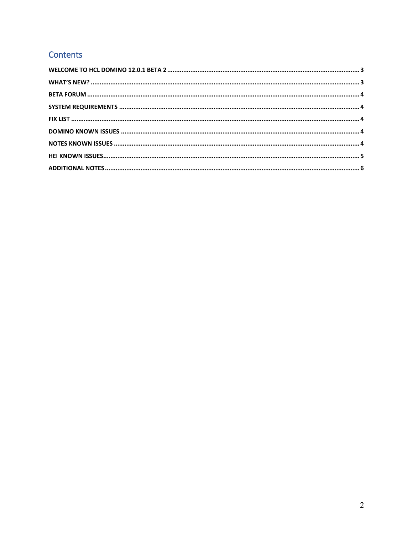# Contents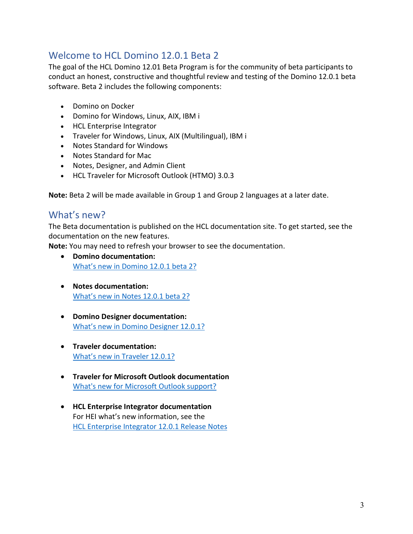### <span id="page-2-0"></span>Welcome to HCL Domino 12.0.1 Beta 2

The goal of the HCL Domino 12.01 Beta Program is for the community of beta participants to conduct an honest, constructive and thoughtful review and testing of the Domino 12.0.1 beta software. Beta 2 includes the following components:

- Domino on Docker
- Domino for Windows, Linux, AIX, IBM i
- HCL Enterprise Integrator
- Traveler for Windows, Linux, AIX (Multilingual), IBM i
- Notes Standard for Windows
- Notes Standard for Mac
- Notes, Designer, and Admin Client
- HCL Traveler for Microsoft Outlook (HTMO) 3.0.3

<span id="page-2-1"></span>**Note:** Beta 2 will be made available in Group 1 and Group 2 languages at a later date.

#### What's new?

The Beta documentation is published on the HCL documentation site. To get started, see the documentation on the new features.

**Note:** You may need to refresh your browser to see the documentation.

- **Domino documentation:** [What's new in Domino 12.0.1](https://help.hcltechsw.com/domino/beta/12.0.1/wn_1201beta2.html) beta 2?
- **Notes documentation:** [What's new in Notes 12.0.1](https://help.hcltechsw.com/notes/beta/12.0.1/whats_new_beta2.html) beta 2?
- **Domino Designer documentation:** [What's new in Domino Designer 12.0.1?](https://help.hcltechsw.com/dom_designer/beta/12.0.1/basic/wn_1201beta2.html)
- **Traveler documentation:** [What's new in Traveler 12.0.1?](https://help.hcltechsw.com/traveler/beta/12.0.1/new_server_features_12_01.html)
- **Traveler for Microsoft Outlook documentation** [What's new for Microsoft Outlook support?](https://help.hcltechsw.com/htmo/beta/3.0.3/whats_new_outlook_support.html)
- **HCL Enterprise Integrator documentation** For HEI what's new information, see the [HCL Enterprise Integrator 12.0.1 Release Notes](https://support.hcltechsw.com/csm?id=kb_article&sysparm_article=KB0092700)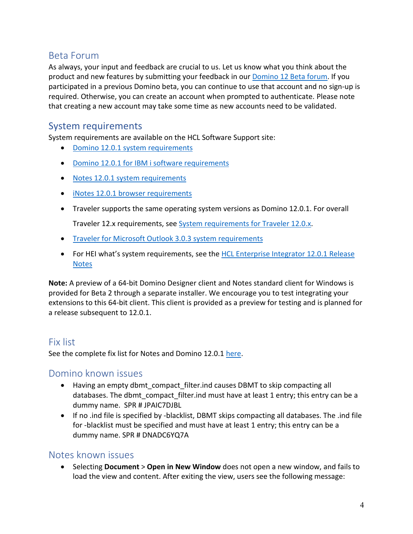#### <span id="page-3-0"></span>Beta Forum

As always, your input and feedback are crucial to us. Let us know what you think about the product and new features by submitting your feedback in our [Domino 12 Beta forum.](https://registration.hclpartnerconnect.com/d12betaforum.nsf) If you participated in a previous Domino beta, you can continue to use that account and no sign-up is required. Otherwise, you can create an account when prompted to authenticate. Please note that creating a new account may take some time as new accounts need to be validated.

#### <span id="page-3-1"></span>System requirements

System requirements are available on the HCL Software Support site:

- [Domino 12.0.1 system requirements](https://support.hcltechsw.com/csm?id=kb_article&sysparm_article=KB0092459)
- [Domino 12.0.1 for IBM i software requirements](https://support.hcltechsw.com/csm?id=kb_article&sysparm_article=KB0092460)
- [Notes 12.0.1 system requirements](https://support.hcltechsw.com/csm?id=kb_article&sysparm_article=KB0092461)
- [iNotes 12.0.1 browser requirements](https://support.hcltechsw.com/csm?id=kb_article&sysparm_article=KB0092462)
- Traveler supports the same operating system versions as Domino 12.0.1. For overall Traveler 12.x requirements, see [System requirements for Traveler 12.0.x.](https://support.hcltechsw.com/csm?id=kb_article&sysparm_article=KB0085674)
- [Traveler for Microsoft Outlook 3.0.3 system requirements](https://help.hcltechsw.com/htmo/beta/3.0.3/use_HTMO_mail_reqs.html)
- For HEI what's system requirements, see the HCL Enterprise Integrator 12.0.1 Release [Notes](https://support.hcltechsw.com/csm?id=kb_article&sysparm_article=KB0092700)

**Note:** A preview of a 64-bit Domino Designer client and Notes standard client for Windows is provided for Beta 2 through a separate installer. We encourage you to test integrating your extensions to this 64-bit client. This client is provided as a preview for testing and is planned for a release subsequent to 12.0.1.

#### <span id="page-3-2"></span>Fix list

<span id="page-3-3"></span>See the complete fix list for Notes and Domino 12.0.1 [here.](https://ds_infolib.hcltechsw.com/ldd/fixlist.nsf/Public?OpenView&Start=1&Count=30&Expand=1#1)

#### Domino known issues

- Having an empty dbmt compact filter.ind causes DBMT to skip compacting all databases. The dbmt\_compact\_filter.ind must have at least 1 entry; this entry can be a dummy name. SPR # JPAIC7DJBL
- If no .ind file is specified by -blacklist, DBMT skips compacting all databases. The .ind file for -blacklist must be specified and must have at least 1 entry; this entry can be a dummy name. SPR # DNADC6YQ7A

#### <span id="page-3-4"></span>Notes known issues

• Selecting **Document** > **Open in New Window** does not open a new window, and fails to load the view and content. After exiting the view, users see the following message: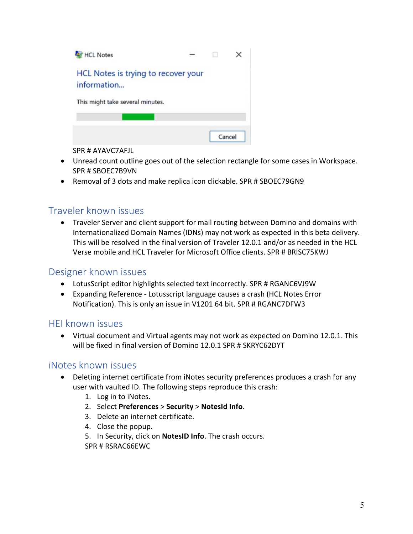

SPR # AYAVC7AFJL

- Unread count outline goes out of the selection rectangle for some cases in Workspace. SPR # SBOEC7B9VN
- Removal of 3 dots and make replica icon clickable. SPR # SBOEC79GN9

#### Traveler known issues

• Traveler Server and client support for mail routing between Domino and domains with Internationalized Domain Names (IDNs) may not work as expected in this beta delivery. This will be resolved in the final version of Traveler 12.0.1 and/or as needed in the HCL Verse mobile and HCL Traveler for Microsoft Office clients. SPR # BRISC75KWJ

#### Designer known issues

- LotusScript editor highlights selected text incorrectly. SPR # RGANC6VJ9W
- Expanding Reference Lotusscript language causes a crash (HCL Notes Error Notification). This is only an issue in V1201 64 bit. SPR # RGANC7DFW3

#### <span id="page-4-0"></span>HEI known issues

• Virtual document and Virtual agents may not work as expected on Domino 12.0.1. This will be fixed in final version of Domino 12.0.1 SPR # SKRYC62DYT

#### iNotes known issues

- Deleting internet certificate from iNotes security preferences produces a crash for any user with vaulted ID. The following steps reproduce this crash:
	- 1. Log in to iNotes.
	- 2. Select **Preferences** > **Security** > **NotesId Info**.
	- 3. Delete an internet certificate.
	- 4. Close the popup.
	- 5. In Security, click on **NotesID Info**. The crash occurs. SPR # RSRAC66EWC